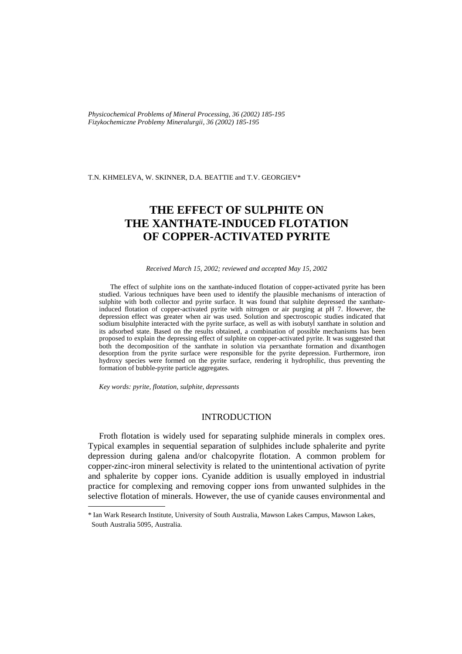*Physicochemical Problems of Mineral Processing, 36 (2002) 185-195 Fizykochemiczne Problemy Mineralurgii, 36 (2002) 185-195* 

T.N. KHMELEVA, W. SKINNER, D.A. BEATTIE and T.V. GEORGIEV\*

# **THE EFFECT OF SULPHITE ON THE XANTHATE-INDUCED FLOTATION OF COPPER-ACTIVATED PYRITE**

*Received March 15, 2002; reviewed and accepted May 15, 2002* 

The effect of sulphite ions on the xanthate-induced flotation of copper-activated pyrite has been studied. Various techniques have been used to identify the plausible mechanisms of interaction of sulphite with both collector and pyrite surface. It was found that sulphite depressed the xanthateinduced flotation of copper-activated pyrite with nitrogen or air purging at pH 7. However, the depression effect was greater when air was used. Solution and spectroscopic studies indicated that sodium bisulphite interacted with the pyrite surface, as well as with isobutyl xanthate in solution and its adsorbed state. Based on the results obtained, a combination of possible mechanisms has been proposed to explain the depressing effect of sulphite on copper-activated pyrite. It was suggested that both the decomposition of the xanthate in solution via perxanthate formation and dixanthogen desorption from the pyrite surface were responsible for the pyrite depression. Furthermore, iron hydroxy species were formed on the pyrite surface, rendering it hydrophilic, thus preventing the formation of bubble-pyrite particle aggregates.

*Key words: pyrite, flotation, sulphite, depressants* 

j

# INTRODUCTION

Froth flotation is widely used for separating sulphide minerals in complex ores. Typical examples in sequential separation of sulphides include sphalerite and pyrite depression during galena and/or chalcopyrite flotation. A common problem for copper-zinc-iron mineral selectivity is related to the unintentional activation of pyrite and sphalerite by copper ions. Cyanide addition is usually employed in industrial practice for complexing and removing copper ions from unwanted sulphides in the selective flotation of minerals. However, the use of cyanide causes environmental and

<sup>\*</sup> Ian Wark Research Institute, University of South Australia, Mawson Lakes Campus, Mawson Lakes, South Australia 5095, Australia.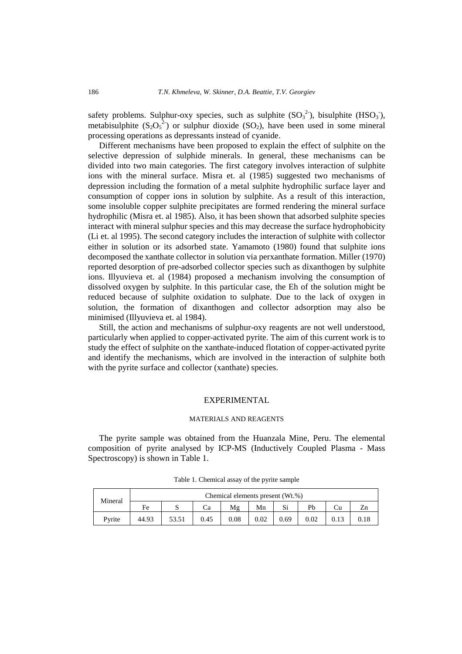safety problems. Sulphur-oxy species, such as sulphite  $(SO_3^2)$ , bisulphite  $(HSO_3)$ , metabisulphite  $(S_2O_5^2)$  or sulphur dioxide  $(SO_2)$ , have been used in some mineral processing operations as depressants instead of cyanide.

Different mechanisms have been proposed to explain the effect of sulphite on the selective depression of sulphide minerals. In general, these mechanisms can be divided into two main categories. The first category involves interaction of sulphite ions with the mineral surface. Misra et. al (1985) suggested two mechanisms of depression including the formation of a metal sulphite hydrophilic surface layer and consumption of copper ions in solution by sulphite. As a result of this interaction, some insoluble copper sulphite precipitates are formed rendering the mineral surface hydrophilic (Misra et. al 1985). Also, it has been shown that adsorbed sulphite species interact with mineral sulphur species and this may decrease the surface hydrophobicity (Li et. al 1995). The second category includes the interaction of sulphite with collector either in solution or its adsorbed state. Yamamoto (1980) found that sulphite ions decomposed the xanthate collector in solution via perxanthate formation. Miller (1970) reported desorption of pre-adsorbed collector species such as dixanthogen by sulphite ions. Illyuvieva et. al (1984) proposed a mechanism involving the consumption of dissolved oxygen by sulphite. In this particular case, the Eh of the solution might be reduced because of sulphite oxidation to sulphate. Due to the lack of oxygen in solution, the formation of dixanthogen and collector adsorption may also be minimised (Illyuvieva et. al 1984).

Still, the action and mechanisms of sulphur-oxy reagents are not well understood, particularly when applied to copper-activated pyrite. The aim of this current work is to study the effect of sulphite on the xanthate-induced flotation of copper-activated pyrite and identify the mechanisms, which are involved in the interaction of sulphite both with the pyrite surface and collector (xanthate) species.

## EXPERIMENTAL

#### MATERIALS AND REAGENTS

The pyrite sample was obtained from the Huanzala Mine, Peru. The elemental composition of pyrite analysed by ICP-MS (Inductively Coupled Plasma - Mass Spectroscopy) is shown in Table 1.

| Mineral | Chemical elements present (Wt.%) |   |      |      |          |      |      |    |    |  |
|---------|----------------------------------|---|------|------|----------|------|------|----|----|--|
|         | Fe                               | ື | Сa   | Mε   | Mn       | c:   | Pb   | ال | Zn |  |
| Pyrite  | 44.93                            |   | 0.45 | 0.08 | $0.02\,$ | 0.69 | 0.02 |    |    |  |

Table 1. Chemical assay of the pyrite sample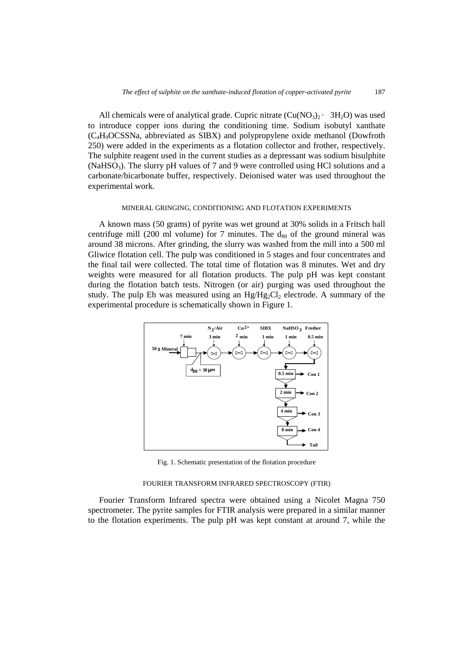All chemicals were of analytical grade. Cupric nitrate  $(Cu(NO_3)$ <sup>2</sup> · 3H<sub>2</sub>O) was used to introduce copper ions during the conditioning time. Sodium isobutyl xanthate (C4H9OCSSNa, abbreviated as SIBX) and polypropylene oxide methanol (Dowfroth 250) were added in the experiments as a flotation collector and frother, respectively. The sulphite reagent used in the current studies as a depressant was sodium bisulphite (NaHSO<sub>3</sub>). The slurry pH values of 7 and 9 were controlled using HCl solutions and a carbonate/bicarbonate buffer, respectively. Deionised water was used throughout the experimental work.

## MINERAL GRINGING, CONDITIONING AND FLOTATION EXPERIMENTS

A known mass (50 grams) of pyrite was wet ground at 30% solids in a Fritsch ball centrifuge mill (200 ml volume) for 7 minutes. The  $d_{80}$  of the ground mineral was around 38 microns. After grinding, the slurry was washed from the mill into a 500 ml Gliwice flotation cell. The pulp was conditioned in 5 stages and four concentrates and the final tail were collected. The total time of flotation was 8 minutes. Wet and dry weights were measured for all flotation products. The pulp pH was kept constant during the flotation batch tests. Nitrogen (or air) purging was used throughout the study. The pulp Eh was measured using an  $Hg/Hg_2Cl_2$  electrode. A summary of the experimental procedure is schematically shown in Figure 1.



Fig. 1. Schematic presentation of the flotation procedure

#### FOURIER TRANSFORM INFRARED SPECTROSCOPY (FTIR)

Fourier Transform Infrared spectra were obtained using a Nicolet Magna 750 spectrometer. The pyrite samples for FTIR analysis were prepared in a similar manner to the flotation experiments. The pulp pH was kept constant at around 7, while the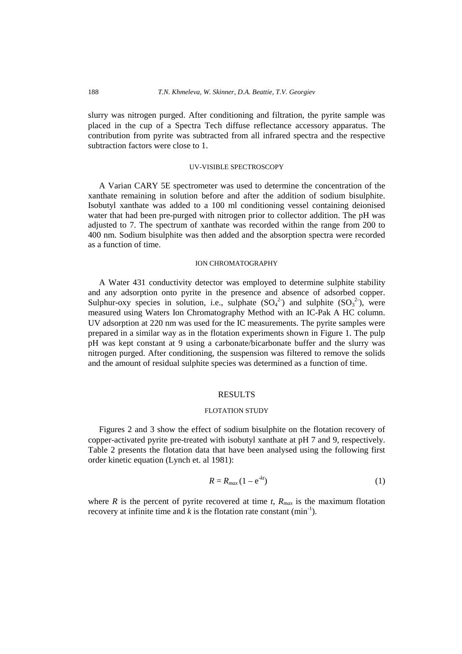slurry was nitrogen purged. After conditioning and filtration, the pyrite sample was placed in the cup of a Spectra Tech diffuse reflectance accessory apparatus. The contribution from pyrite was subtracted from all infrared spectra and the respective subtraction factors were close to 1.

## UV-VISIBLE SPECTROSCOPY

A Varian CARY 5E spectrometer was used to determine the concentration of the xanthate remaining in solution before and after the addition of sodium bisulphite. Isobutyl xanthate was added to a 100 ml conditioning vessel containing deionised water that had been pre-purged with nitrogen prior to collector addition. The pH was adjusted to 7. The spectrum of xanthate was recorded within the range from 200 to 400 nm. Sodium bisulphite was then added and the absorption spectra were recorded as a function of time.

## ION CHROMATOGRAPHY

A Water 431 conductivity detector was employed to determine sulphite stability and any adsorption onto pyrite in the presence and absence of adsorbed copper. Sulphur-oxy species in solution, i.e., sulphate  $(SO_4^2)$  and sulphite  $(SO_3^2)$ , were measured using Waters Ion Chromatography Method with an IC-Pak A HC column. UV adsorption at 220 nm was used for the IC measurements. The pyrite samples were prepared in a similar way as in the flotation experiments shown in Figure 1. The pulp pH was kept constant at 9 using a carbonate/bicarbonate buffer and the slurry was nitrogen purged. After conditioning, the suspension was filtered to remove the solids and the amount of residual sulphite species was determined as a function of time.

## RESULTS

#### FLOTATION STUDY

Figures 2 and 3 show the effect of sodium bisulphite on the flotation recovery of copper-activated pyrite pre-treated with isobutyl xanthate at pH 7 and 9, respectively. Table 2 presents the flotation data that have been analysed using the following first order kinetic equation (Lynch et. al 1981):

$$
R=R_{max}(1-e^{-kt})
$$
 (1)

where *R* is the percent of pyrite recovered at time  $t$ ,  $R_{max}$  is the maximum flotation recovery at infinite time and  $k$  is the flotation rate constant  $(\text{min}^{-1})$ .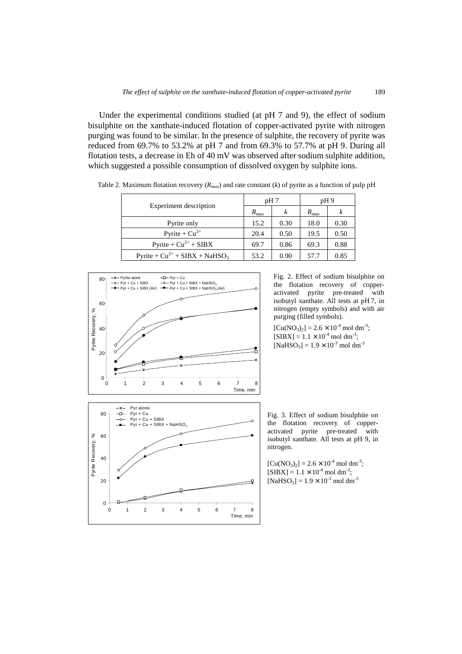Under the experimental conditions studied (at pH 7 and 9), the effect of sodium bisulphite on the xanthate-induced flotation of copper-activated pyrite with nitrogen purging was found to be similar. In the presence of sulphite, the recovery of pyrite was reduced from 69.7% to 53.2% at pH 7 and from 69.3% to 57.7% at pH 9. During all flotation tests, a decrease in Eh of 40 mV was observed after sodium sulphite addition, which suggested a possible consumption of dissolved oxygen by sulphite ions.

|                                                | pH7       |      | pH9                                       |      |  |
|------------------------------------------------|-----------|------|-------------------------------------------|------|--|
| <b>Experiment</b> description                  | $R_{max}$ | k    | $R_{max}$<br>18.0<br>19.5<br>69.3<br>57.7 | k    |  |
| Pyrite only                                    | 15.2      | 0.30 |                                           | 0.30 |  |
| Pyrite + $Cu^{2+}$                             | 20.4      | 0.50 |                                           | 0.50 |  |
| Pyrite + $Cu^{2+}$ + SIBX                      | 69.7      | 0.86 |                                           | 0.88 |  |
| Pyrite + $Cu^{2+}$ + SIBX + NaHSO <sub>3</sub> | 53.2      | 0.90 |                                           | 0.85 |  |

Table 2. Maximum flotation recovery (*Rmax*) and rate constant (*k*) of pyrite as a function of pulp pH



Fig. 2. Effect of sodium bisulphite on the flotation recovery of copperactivated pyrite pre-treated with isobutyl xanthate. All tests at pH 7, in nitrogen (empty symbols) and with air purging (filled symbols).

 $[Cu(NO<sub>3</sub>)<sub>2</sub>] = 2.6 \times 10<sup>-4</sup>$  mol dm<sup>-3</sup>;  $[SIBX] = 1.1 \times 10^{-4}$  mol dm<sup>-3</sup>;  $[NaHSO<sub>3</sub>] = 1.9 \times 10^{-3}$  mol dm<sup>-3</sup>



 $[Cu(NO<sub>3</sub>)<sub>2</sub>] = 2.6 \times 10<sup>-4</sup>$  mol dm<sup>-3</sup>;  $[SIBX] = 1.1 \times 10^{-4}$  mol dm<sup>-3</sup>;  $[NaHSO<sub>3</sub>] = 1.9 \times 10<sup>-3</sup>$  mol dm<sup>-3</sup>

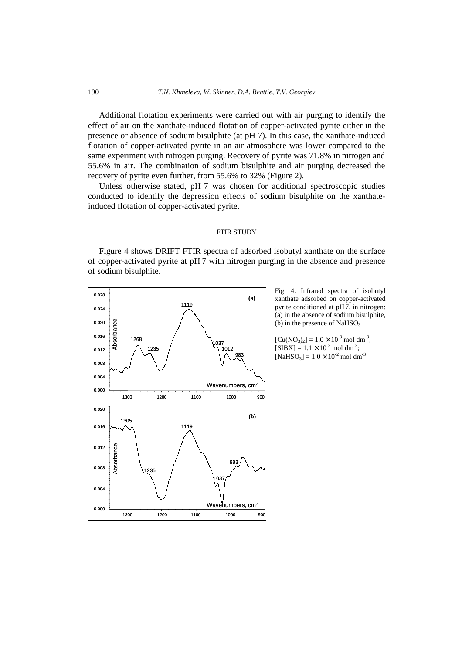## 190 *T.N. Khmeleva, W. Skinner, D.A. Beattie, T.V. Georgiev*

Additional flotation experiments were carried out with air purging to identify the effect of air on the xanthate-induced flotation of copper-activated pyrite either in the presence or absence of sodium bisulphite (at pH 7). In this case, the xanthate-induced flotation of copper-activated pyrite in an air atmosphere was lower compared to the same experiment with nitrogen purging. Recovery of pyrite was 71.8% in nitrogen and 55.6% in air. The combination of sodium bisulphite and air purging decreased the recovery of pyrite even further, from 55.6% to 32% (Figure 2).

Unless otherwise stated, pH 7 was chosen for additional spectroscopic studies conducted to identify the depression effects of sodium bisulphite on the xanthateinduced flotation of copper-activated pyrite.

## FTIR STUDY

Figure 4 shows DRIFT FTIR spectra of adsorbed isobutyl xanthate on the surface of copper-activated pyrite at pH 7 with nitrogen purging in the absence and presence of sodium bisulphite.



Fig. 4. Infrared spectra of isobutyl xanthate adsorbed on copper-activated pyrite conditioned at pH7, in nitrogen: (a) in the absence of sodium bisulphite, (b) in the presence of  $NaHSO<sub>3</sub>$ 

 $[Cu(NO<sub>3</sub>)<sub>2</sub>] = 1.0 \times 10<sup>-3</sup>$  mol dm<sup>-3</sup>;  $[SIBX] = 1.1 \times 10^{-3}$  mol dm<sup>-3</sup>;  $[NaHSO<sub>3</sub>] = 1.0 \times 10^{-2}$  mol dm<sup>-3</sup>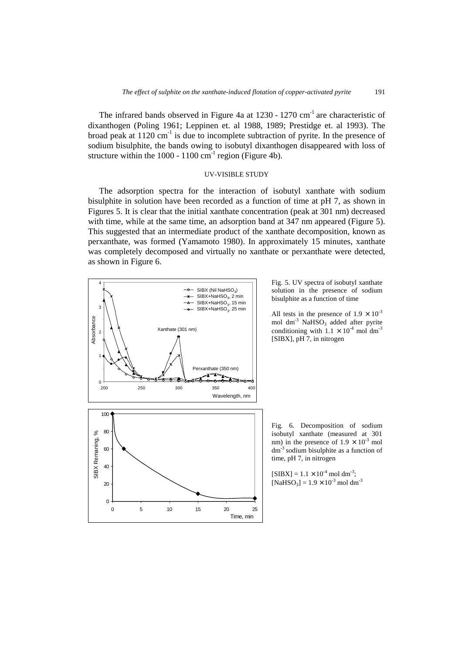The infrared bands observed in Figure 4a at  $1230 - 1270$  cm<sup>-1</sup> are characteristic of dixanthogen (Poling 1961; Leppinen et. al 1988, 1989; Prestidge et. al 1993). The broad peak at  $1120 \text{ cm}^{-1}$  is due to incomplete subtraction of pyrite. In the presence of sodium bisulphite, the bands owing to isobutyl dixanthogen disappeared with loss of structure within the  $1000 - 1100$  cm<sup>-1</sup> region (Figure 4b).

## UV-VISIBLE STUDY

The adsorption spectra for the interaction of isobutyl xanthate with sodium bisulphite in solution have been recorded as a function of time at pH 7, as shown in Figures 5. It is clear that the initial xanthate concentration (peak at 301 nm) decreased with time, while at the same time, an adsorption band at 347 nm appeared (Figure 5). This suggested that an intermediate product of the xanthate decomposition, known as perxanthate, was formed (Yamamoto 1980). In approximately 15 minutes, xanthate was completely decomposed and virtually no xanthate or perxanthate were detected, as shown in Figure 6.



Fig. 5. UV spectra of isobutyl xanthate solution in the presence of sodium bisulphite as a function of time

All tests in the presence of  $1.9 \times 10^{-3}$ mol dm<sup>-3</sup> NaHSO<sub>3</sub> added after pyrite conditioning with  $1.1 \times 10^{-4}$  mol dm<sup>-3</sup> [SIBX], pH 7, in nitrogen

Fig. 6. Decomposition of sodium isobutyl xanthate (measured at 301 nm) in the presence of  $1.9 \times 10^{-3}$  mol dm-3 sodium bisulphite as a function of time, pH 7, in nitrogen

 $[SIBX] = 1.1 \times 10^{-4}$  mol dm<sup>-3</sup>;  $[NaHSO<sub>3</sub>] = 1.9 \times 10<sup>-3</sup>$  mol dm<sup>-3</sup>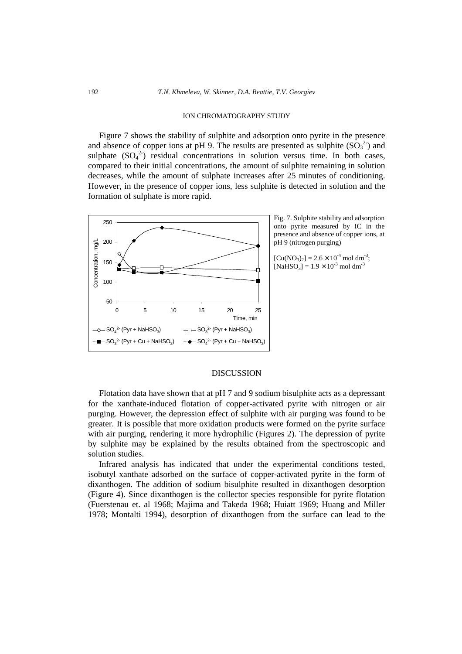## ION CHROMATOGRAPHY STUDY

Figure 7 shows the stability of sulphite and adsorption onto pyrite in the presence and absence of copper ions at pH 9. The results are presented as sulphite  $(SO_3^2)$  and sulphate  $(SO_4^2)$  residual concentrations in solution versus time. In both cases, compared to their initial concentrations, the amount of sulphite remaining in solution decreases, while the amount of sulphate increases after 25 minutes of conditioning. However, in the presence of copper ions, less sulphite is detected in solution and the formation of sulphate is more rapid.



Fig. 7. Sulphite stability and adsorption onto pyrite measured by IC in the presence and absence of copper ions, at pH 9 (nitrogen purging)

 $[Cu(NO<sub>3</sub>)<sub>2</sub>] = 2.6 \times 10<sup>-4</sup>$  mol dm<sup>-3</sup>;  $[NaHSO<sub>3</sub>] = 1.9 \times 10<sup>-3</sup>$  mol dm<sup>-3</sup>

## DISCUSSION

Flotation data have shown that at pH 7 and 9 sodium bisulphite acts as a depressant for the xanthate-induced flotation of copper-activated pyrite with nitrogen or air purging. However, the depression effect of sulphite with air purging was found to be greater. It is possible that more oxidation products were formed on the pyrite surface with air purging, rendering it more hydrophilic (Figures 2). The depression of pyrite by sulphite may be explained by the results obtained from the spectroscopic and solution studies.

Infrared analysis has indicated that under the experimental conditions tested, isobutyl xanthate adsorbed on the surface of copper-activated pyrite in the form of dixanthogen. The addition of sodium bisulphite resulted in dixanthogen desorption (Figure 4). Since dixanthogen is the collector species responsible for pyrite flotation (Fuerstenau et. al 1968; Majima and Takeda 1968; Huiatt 1969; Huang and Miller 1978; Montalti 1994), desorption of dixanthogen from the surface can lead to the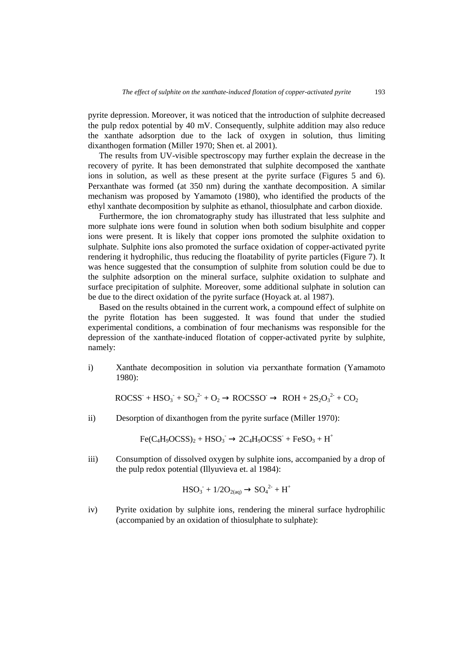pyrite depression. Moreover, it was noticed that the introduction of sulphite decreased the pulp redox potential by 40 mV. Consequently, sulphite addition may also reduce the xanthate adsorption due to the lack of oxygen in solution, thus limiting dixanthogen formation (Miller 1970; Shen et. al 2001).

The results from UV-visible spectroscopy may further explain the decrease in the recovery of pyrite. It has been demonstrated that sulphite decomposed the xanthate ions in solution, as well as these present at the pyrite surface (Figures 5 and 6). Perxanthate was formed (at 350 nm) during the xanthate decomposition. A similar mechanism was proposed by Yamamoto (1980), who identified the products of the ethyl xanthate decomposition by sulphite as ethanol, thiosulphate and carbon dioxide.

Furthermore, the ion chromatography study has illustrated that less sulphite and more sulphate ions were found in solution when both sodium bisulphite and copper ions were present. It is likely that copper ions promoted the sulphite oxidation to sulphate. Sulphite ions also promoted the surface oxidation of copper-activated pyrite rendering it hydrophilic, thus reducing the floatability of pyrite particles (Figure 7). It was hence suggested that the consumption of sulphite from solution could be due to the sulphite adsorption on the mineral surface, sulphite oxidation to sulphate and surface precipitation of sulphite. Moreover, some additional sulphate in solution can be due to the direct oxidation of the pyrite surface (Hoyack at. al 1987).

Based on the results obtained in the current work, a compound effect of sulphite on the pyrite flotation has been suggested. It was found that under the studied experimental conditions, a combination of four mechanisms was responsible for the depression of the xanthate-induced flotation of copper-activated pyrite by sulphite, namely:

i) Xanthate decomposition in solution via perxanthate formation (Yamamoto 1980):

 $ROCSS + HSO<sub>3</sub> + SO<sub>3</sub><sup>2</sup> + O<sub>2</sub> \rightarrow ROCSSO \rightarrow ROH + 2S<sub>2</sub>O<sub>3</sub><sup>2</sup> + CO<sub>2</sub>$ 

ii) Desorption of dixanthogen from the pyrite surface (Miller 1970):

 $Fe(C_4H_9OCSS)_2 + HSO_3^- \rightarrow 2C_4H_9OCSS^- + FeSO_3 + H^+$ 

iii) Consumption of dissolved oxygen by sulphite ions, accompanied by a drop of the pulp redox potential (Illyuvieva et. al 1984):

$$
HSO_3^- + 1/2O_{2(aq)} \rightarrow SO_4^{2-} + H^+
$$

iv) Pyrite oxidation by sulphite ions, rendering the mineral surface hydrophilic (accompanied by an oxidation of thiosulphate to sulphate):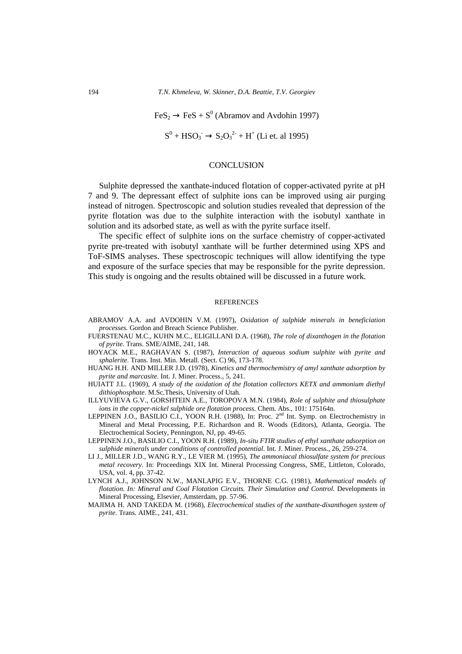$\text{FeS}_2 \rightarrow \text{FeS} + \text{S}^0$  (Abramov and Avdohin 1997)

 $S^0$  + HSO<sub>3</sub><sup>-</sup> → S<sub>2</sub>O<sub>3</sub><sup>2-</sup> + H<sup>+</sup> (Li et. al 1995)

## **CONCLUSION**

Sulphite depressed the xanthate-induced flotation of copper-activated pyrite at pH 7 and 9. The depressant effect of sulphite ions can be improved using air purging instead of nitrogen. Spectroscopic and solution studies revealed that depression of the pyrite flotation was due to the sulphite interaction with the isobutyl xanthate in solution and its adsorbed state, as well as with the pyrite surface itself.

The specific effect of sulphite ions on the surface chemistry of copper-activated pyrite pre-treated with isobutyl xanthate will be further determined using XPS and ToF-SIMS analyses. These spectroscopic techniques will allow identifying the type and exposure of the surface species that may be responsible for the pyrite depression. This study is ongoing and the results obtained will be discussed in a future work.

### **REFERENCES**

- ABRAMOV A.A. and AVDOHIN V.M. (1997), *Oxidation of sulphide minerals in beneficiation processes.* Gordon and Breach Science Publisher.
- FUERSTENAU M.C., KUHN M.C., ELIGILLANI D.A. (1968), *The role of dixanthogen in the flotation of pyrite*. Trans. SME/AIME, 241, 148.
- HOYACK M.E., RAGHAVAN S. (1987), *Interaction of aqueous sodium sulphite with pyrite and sphalerite*. Trans. Inst. Min. Metall. (Sect. C) 96, 173-178.
- HUANG H.H. AND MILLER J.D. (1978), *Kinetics and thermochemistry of amyl xanthate adsorption by pyrite and marcasite*. Int. J. Miner. Process., 5, 241.
- HUIATT J.L. (1969), *A study of the oxidation of the flotation collectors KETX and ammonium diethyl dithiophosphate*. M.Sc.Thesis, University of Utah.
- ILLYUVIEVA G.V., GORSHTEIN A.E., TOROPOVA M.N. (1984), *Role of sulphite and thiosulphate ions in the copper-nickel sulphide ore flotation process*. Chem. Abs., 101: 175164n.
- LEPPINEN J.O., BASILIO C.I., YOON R.H. (1988), In: Proc. 2<sup>nd</sup> Int. Symp. on Electrochemistry in Mineral and Metal Processing, P.E. Richardson and R. Woods (Editors), Atlanta, Georgia. The Electrochemical Society, Pennington, NJ, pp. 49-65.
- LEPPINEN J.O., BASILIO C.I., YOON R.H. (1989), *In-situ FTIR studies of ethyl xanthate adsorption on sulphide minerals under conditions of controlled potential*. Int. J. Miner. Process., 26, 259-274.
- LI J., MILLER J.D., WANG R.Y., LE VIER M. (1995), *The ammoniacal thiosulfate system for precious metal recovery*. In: Proceedings XIX Int. Mineral Processing Congress, SME, Littleton, Colorado, USA, vol. 4, pp. 37-42.
- LYNCH A.J., JOHNSON N.W., MANLAPIG E.V., THORNE C.G. (1981), *Mathematical models of flotation. In: Mineral and Coal Flotation Circuits. Their Simulation and Control. Developments in* Mineral Processing, Elsevier, Amsterdam, pp. 57-96.
- MAJIMA H. AND TAKEDA M. (1968), *Electrochemical studies of the xanthate-dixanthogen system of pyrite*. Trans. AIME., 241, 431.